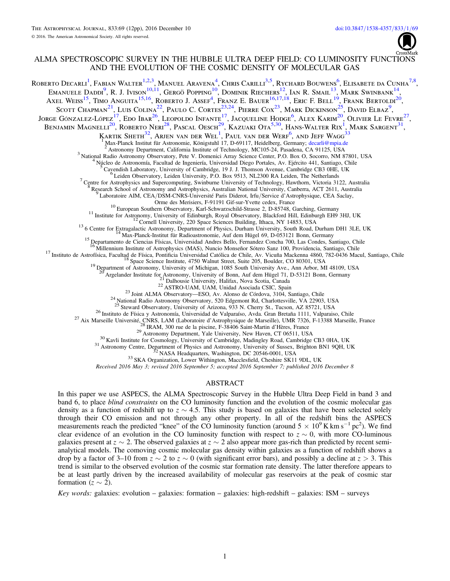formation ( $z \sim 2$ ).

# ALMA SPECTROSCOPIC SURVEY IN THE HUBBLE ULTRA DEEP FIELD: CO LUMINOSITY FUNCTIONS AND THE EVOLUTION OF THE COSMIC DENSITY OF MOLECULAR GAS

Roberto Decarli<sup>[1](#page-0-0)</sup>, Fabian Walter<sup>[1,](#page-0-0)[2,](#page-0-1)[3](#page-0-2)</sup>, Manuel Aravena<sup>[4](#page-0-3)</sup>, Chris Carilli<sup>[3,](#page-0-2)[5](#page-0-4)</sup>, Rychard Bouwens<sup>[6](#page-0-5)</sup>, Elisabete da Cunha<sup>[7,](#page-0-6)[8](#page-0-7)</sup>,

<span id="page-0-20"></span><span id="page-0-19"></span><span id="page-0-18"></span><span id="page-0-17"></span><span id="page-0-16"></span><span id="page-0-15"></span><span id="page-0-14"></span><span id="page-0-13"></span><span id="page-0-12"></span><span id="page-0-11"></span><span id="page-0-10"></span><span id="page-0-9"></span><span id="page-0-8"></span><span id="page-0-7"></span><span id="page-0-6"></span><span id="page-0-5"></span><span id="page-0-4"></span><span id="page-0-3"></span><span id="page-0-2"></span><span id="page-0-1"></span><span id="page-0-0"></span>Emanuele Daddi<sup>[9](#page-0-8)</sup>, R. J. Ivison<sup>[10,](#page-0-9)[11](#page-0-10)</sup>, Gergö Popping<sup>[10](#page-0-9)</sup>, Dominik Riechers<sup>[12](#page-0-11)</sup>, Ian R. Smail<sup>[13](#page-0-12)</sup>, Mark Swinbank<sup>[14](#page-0-13)</sup>, Axel Weiss<sup>[15](#page-0-14)</sup>, Timo Anguita<sup>[15,](#page-0-14)[16](#page-0-15)</sup>, Roberto J. Assef<sup>[4](#page-0-3)</sup>, Franz E. Bauer<sup>[16,](#page-0-15)[17,](#page-0-16)[18](#page-0-17)</sup>, Eric F. Bell<sup>[19](#page-0-18)</sup>, Frank Bertoldi<sup>[20](#page-0-19)</sup>, SCOTT CHAPMAN<sup>[21](#page-0-20)</sup>, LUIS COLINA<sup>[22](#page-0-21)</sup>, PAULO C. CORTES<sup>[23,](#page-0-22)[24](#page-0-23)</sup>, PIERRE COX<sup>[23](#page-0-22)</sup>, MARK DICKINSON<sup>[25](#page-0-24)</sup>, DAVID ELBAZ<sup>[9](#page-0-8)</sup>, Jorge Gónzalez-López<sup>[17](#page-0-16)</sup>, Edo Ibar<sup>[26](#page-0-25)</sup>, Leopoldo Infante<sup>17</sup>, Jacqueline Hodge<sup>[6](#page-0-5)</sup>, Alex Karim<sup>[20](#page-0-19)</sup>, Olivier Le Fevre<sup>[27](#page-0-26)</sup>, Benjamin Magnelli<sup>[20](#page-0-19)</sup>, Roberto Neri<sup>[28](#page-0-27)</sup>, Pascal Oesch<sup>[29](#page-0-28)</sup>, Kazuaki Ota<sup>[5,](#page-0-4)[30](#page-0-29)</sup>, Hans-Walter Rix<sup>[1](#page-0-0)</sup>, Mark Sargent<sup>[31](#page-0-30)</sup>, Kartik Sheth $^{32}$  $^{32}$  $^{32}$ , Arjen van der Wel<sup>[1](#page-0-0)</sup>, Paul van der Werf<sup>[6](#page-0-5)</sup>, and Jeff Wagg<sup>[33](#page-0-32)</sup> Max-Planck Institut für Astronomie, Königstuhl 17, D-69117, Heidelberg, Germany; [decarli@mpia.de](mailto:decarli@mpia.de)<br>
<sup>2</sup> Astronomy Department, California Institute of Technology, MC105-24, Pasadena, CA 91125, USA<br>
<sup>3</sup> National Radio Astronom 10 European Southern Observatory, Karl-Schwarzschild-Strasse 2, D-85748, Garching, Germany<br>
<sup>11</sup> Institute for Astronomy, University of Edinburgh, Royal Observatory, Blackford Hill, Edinburgh EH9 3HJ, UK<br>
<sup>12</sup> Cornell Univ <sup>17</sup> Instituto de Astrofísica, Facultad de Física, Pontificia Universidad Católica de Chile, Av. Vicuña Mackenna 4860, 782-0436 Macul, Santiago, Chile <sup>18</sup> Space Science Institute, 4750 Walnut Street, Suite 205, Boulder, <sup>21</sup> Dalhousie University, Halifax, Nova Scotia, Canada<br><sup>22</sup> ASTRO-UAM, UAM, Unidad Asociada CSIC, Spain<br><sup>23</sup> Joint ALMA Observatory—ESO, Av. Alonso de Córdova, 3104, Santiago, Chile<br><sup>24</sup> National Radio Astronomy Observat <sup>26</sup> Instituto de Física y Astronomía, Universidad de Valparaíso, Avda. Gran Bretaña 1111, Valparaiso, Chile<br><sup>27</sup> Aix Marseille Université, CNRS, LAM (Laboratoire d'Astrophysique de Marseille), UMR 7326, F-13388 Marseille Received 2016 May 3; revised 2016 September 5; accepted 2016 September 7; published 2016 December 8 ABSTRACT In this paper we use ASPECS, the ALMA Spectroscopic Survey in the Hubble Ultra Deep Field in band 3 and band 6, to place blind constraints on the CO luminosity function and the evolution of the cosmic molecular gas density as a function of redshift up to  $z \sim 4.5$ . This study is based on galaxies that have been selected solely through their CO emission and not through any other property. In all of the redshift bins the ASPECS measurements reach the predicted "knee" of the CO luminosity function (around  $5 \times 10^9$  K km s<sup>-1</sup> pc<sup>2</sup>). We find clear evidence of an evolution in the CO luminosity function with respect to  $z \sim 0$ , with more CO-luminous galaxies present at  $z \sim 2$ . The observed galaxies at  $z \sim 2$  also appear more gas-rich than predicted by recent semianalytical models. The comoving cosmic molecular gas density within galaxies as a function of redshift shows a drop by a factor of 3–10 from  $z \sim 2$  to  $z \sim 0$  (with significant error bars), and possibly a decline at  $z > 3$ . This

Key words: galaxies: evolution – galaxies: formation – galaxies: high-redshift – galaxies: ISM – surveys

<span id="page-0-32"></span><span id="page-0-31"></span><span id="page-0-30"></span><span id="page-0-29"></span><span id="page-0-28"></span><span id="page-0-27"></span><span id="page-0-26"></span><span id="page-0-25"></span><span id="page-0-24"></span><span id="page-0-23"></span><span id="page-0-22"></span><span id="page-0-21"></span>trend is similar to the observed evolution of the cosmic star formation rate density. The latter therefore appears to be at least partly driven by the increased availability of molecular gas reservoirs at the peak of cosmic star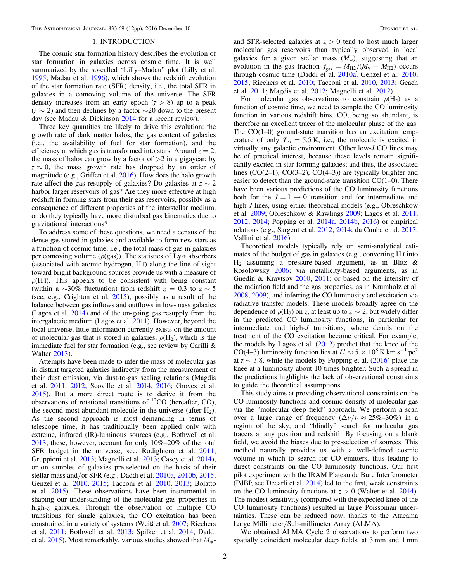# 1. INTRODUCTION

The cosmic star formation history describes the evolution of star formation in galaxies across cosmic time. It is well summarized by the so-called "Lilly–Madau" plot (Lilly et al. [1995;](#page-10-0) Madau et al. [1996](#page-11-0)), which shows the redshift evolution of the star formation rate (SFR) density, i.e., the total SFR in galaxies in a comoving volume of the universe. The SFR density increases from an early epoch  $(z > 8)$  up to a peak  $(z \sim 2)$  and then declines by a factor ∼20 down to the present day (see Madau & Dickinson [2014](#page-10-1) for a recent review).

Three key quantities are likely to drive this evolution: the growth rate of dark matter halos, the gas content of galaxies (i.e., the availability of fuel for star formation), and the efficiency at which gas is transformed into stars. Around  $z = 2$ , the mass of halos can grow by a factor of  $>2$  in a gigayear; by  $z \approx 0$ , the mass growth rate has dropped by an order of magnitude (e.g., Griffen et al. [2016](#page-10-2)). How does the halo growth rate affect the gas resupply of galaxies? Do galaxies at  $z \sim 2$ harbor larger reservoirs of gas? Are they more effective at high redshift in forming stars from their gas reservoirs, possibly as a consequence of different properties of the interstellar medium, or do they typically have more disturbed gas kinematics due to gravitational interactions?

To address some of these questions, we need a census of the dense gas stored in galaxies and available to form new stars as a function of cosmic time, i.e., the total mass of gas in galaxies per comoving volume ( $\rho$ (gas)). The statistics of Ly $\alpha$  absorbers (associated with atomic hydrogen, H I) along the line of sight toward bright background sources provide us with a measure of  $\rho(H I)$ . This appears to be consistent with being constant (within a  $\sim$ 30% fluctuation) from redshift  $z = 0.3$  to  $z \sim 5$ (see, e.g., Crighton et al. [2015](#page-10-3)), possibly as a result of the balance between gas inflows and outflows in low-mass galaxies (Lagos et al. [2014](#page-10-4)) and of the on-going gas resupply from the intergalactic medium (Lagos et al. [2011](#page-10-5)). However, beyond the local universe, little information currently exists on the amount of molecular gas that is stored in galaxies,  $\rho(H_2)$ , which is the immediate fuel for star formation (e.g., see review by Carilli & Walter [2013](#page-10-6)).

Attempts have been made to infer the mass of molecular gas in distant targeted galaxies indirectly from the measurement of their dust emission, via dust-to-gas scaling relations (Magdis et al. [2011,](#page-11-1) [2012;](#page-11-2) Scoville et al. [2014](#page-11-3), [2016](#page-11-4); Groves et al. [2015](#page-10-7)). But a more direct route is to derive it from the observations of rotational transitions of 12CO (hereafter, CO), the second most abundant molecule in the universe (after  $H_2$ ). As the second approach is most demanding in terms of telescope time, it has traditionally been applied only with extreme, infrared (IR)-luminous sources (e.g., Bothwell et al. [2013;](#page-10-8) these, however, account for only 10%–20% of the total SFR budget in the universe; see, Rodighiero et al. [2011](#page-11-5); Gruppioni et al. [2013](#page-10-9); Magnelli et al. [2013](#page-11-6); Casey et al. [2014](#page-10-10)), or on samples of galaxies pre-selected on the basis of their stellar mass and/or SFR (e.g., Daddi et al. [2010a,](#page-10-11) [2010b](#page-10-12), [2015](#page-10-13); Genzel et al. [2010](#page-10-14), [2015](#page-10-15); Tacconi et al. [2010,](#page-11-7) [2013](#page-11-8); Bolatto et al. [2015](#page-10-16)). These observations have been instrumental in shaping our understanding of the molecular gas properties in high-z galaxies. Through the observation of multiple CO transitions for single galaxies, the CO excitation has been constrained in a variety of systems (Weiß et al. [2007;](#page-11-9) Riechers et al. [2011;](#page-11-10) Bothwell et al. [2013](#page-10-8); Spilker et al. [2014](#page-11-11); Daddi et al. [2015](#page-10-13)). Most remarkably, various studies showed that  $M_{*}$ -

and SFR-selected galaxies at  $z > 0$  tend to host much larger molecular gas reservoirs than typically observed in local galaxies for a given stellar mass  $(M_*)$ , suggesting that an evolution in the gas fraction  $f_{\text{gas}} = M_{\text{H2}}/(M_{*} + M_{\text{H2}})$  occurs through cosmic time (Daddi et al. [2010a;](#page-10-11) Genzel et al. [2010](#page-10-14), [2015;](#page-10-15) Riechers et al. [2010;](#page-11-12) Tacconi et al. [2010](#page-11-7), [2013](#page-11-8); Geach et al. [2011](#page-10-17); Magdis et al. [2012](#page-11-2); Magnelli et al. [2012](#page-11-13)).

For molecular gas observations to constrain  $\rho(H_2)$  as a function of cosmic time, we need to sample the CO luminosity function in various redshift bins. CO, being so abundant, is therefore an excellent tracer of the molecular phase of the gas. The CO(1–0) ground-state transition has an excitation temperature of only  $T_{ex} = 5.5$  K, i.e., the molecule is excited in virtually any galactic environment. Other low-J CO lines may be of practical interest, because these levels remain significantly excited in star-forming galaxies; and thus, the associated lines  $(CO(2-1), CO(3-2), CO(4-3))$  are typically brighter and easier to detect than the ground-state transition CO(1–0). There have been various predictions of the CO luminosity functions both for the  $J = 1 \rightarrow 0$  transition and for intermediate and high-J lines, using either theoretical models (e.g., Obreschkow et al. [2009;](#page-11-14) Obreschkow & Rawlings [2009;](#page-11-15) Lagos et al. [2011](#page-10-5), [2012,](#page-10-18) [2014](#page-10-4); Popping et al. [2014a,](#page-11-16) [2014b,](#page-11-17) [2016](#page-11-18)) or empirical relations (e.g., Sargent et al. [2012](#page-11-19), [2014;](#page-11-20) da Cunha et al. [2013](#page-10-19); Vallini et al. [2016](#page-11-21)).

Theoretical models typically rely on semi-analytical estimates of the budget of gas in galaxies (e.g., converting H I into  $H_2$  assuming a pressure-based argument, as in Blitz & Rosolowsky [2006;](#page-10-20) via metallicity-based arguments, as in Gnedin & Kravtsov [2010](#page-10-21), [2011;](#page-10-22) or based on the intensity of the radiation field and the gas properties, as in Krumholz et al. [2008,](#page-10-23) [2009](#page-10-24)), and inferring the CO luminosity and excitation via radiative transfer models. These models broadly agree on the dependence of  $\rho(H_2)$  on z, at least up to  $z \sim 2$ , but widely differ in the predicted CO luminosity functions, in particular for intermediate and high-J transitions, where details on the treatment of the CO excitation become critical. For example, the models by Lagos et al.  $(2012)$  $(2012)$  $(2012)$  predict that the knee of the CO(4–3) luminosity function lies at  $L' \approx 5 \times 10^8$  K km s<sup>-1</sup> pc<sup>2</sup> at  $z \sim 3.8$ , while the models by Popping et al. ([2016](#page-11-18)) place the knee at a luminosity about 10 times brighter. Such a spread in the predictions highlights the lack of observational constraints to guide the theoretical assumptions.

This study aims at providing observational constraints on the CO luminosity functions and cosmic density of molecular gas via the "molecular deep field" approach. We perform a scan over a large range of frequency  $(\Delta \nu / \nu \approx 25\% - 30\%)$  in a region of the sky, and "blindly" search for molecular gas tracers at any position and redshift. By focusing on a blank field, we avoid the biases due to pre-selection of sources. This method naturally provides us with a well-defined cosmic volume in which to search for CO emitters, thus leading to direct constraints on the CO luminosity functions. Our first pilot experiment with the IRAM Plateau de Bure Interferometer (PdBI; see Decarli et al. [2014](#page-10-25)) led to the first, weak constraints on the CO luminosity functions at  $z > 0$  (Walter et al. [2014](#page-11-22)). The modest sensitivity (compared with the expected knee of the CO luminosity functions) resulted in large Poissonian uncertainties. These can be reduced now, thanks to the Atacama Large Millimeter/Sub-millimeter Array (ALMA).

We obtained ALMA Cycle 2 observations to perform two spatially coincident molecular deep fields, at 3 mm and 1 mm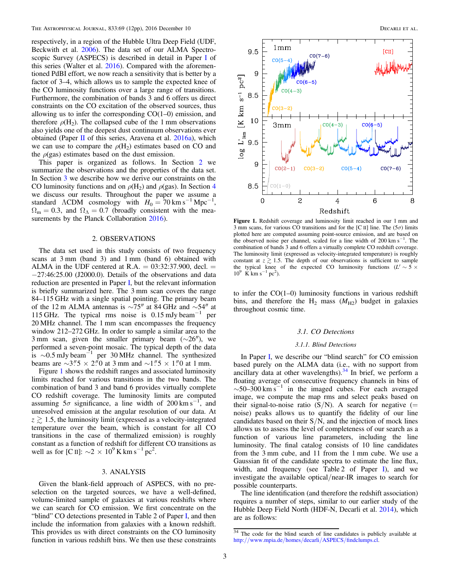respectively, in a region of the Hubble Ultra Deep Field (UDF, Beckwith et al. [2006](#page-10-26)). The data set of our ALMA Spectroscopic Survey (ASPECS) is described in detail in Paper [I](#page-11-23) of this series (Walter et al. [2016](#page-11-23)). Compared with the aforementioned PdBI effort, we now reach a sensitivity that is better by a factor of 3–4, which allows us to sample the expected knee of the CO luminosity functions over a large range of transitions. Furthermore, the combination of bands 3 and 6 offers us direct constraints on the CO excitation of the observed sources, thus allowing us to infer the corresponding  $CO(1-0)$  emission, and therefore  $\rho(H_2)$ . The collapsed cube of the 1 mm observations also yields one of the deepest dust continuum observations ever obtained (Paper [II](#page-10-27) of this series, Aravena et al. [2016a](#page-10-27)), which we can use to compare the  $\rho(H_2)$  estimates based on CO and the  $\rho$ (gas) estimates based on the dust emission.

This paper is organized as follows. In Section [2](#page-2-0) we summarize the observations and the properties of the data set. In Section [3](#page-2-1) we describe how we derive our constraints on the CO luminosity functions and on  $\rho(H_2)$  and  $\rho(gas)$ . In Section [4](#page-9-0) we discuss our results. Throughout the paper we assume a standard  $\triangle$ CDM cosmology with  $H_0 = 70 \text{ km s}^{-1} \text{ Mpc}^{-1}$ ,  $\Omega_{\rm m} = 0.3$ , and  $\Omega_{\Lambda} = 0.7$  (broadly consistent with the mea-surements by the Planck Collaboration [2016](#page-11-24)).

### 2. OBSERVATIONS

<span id="page-2-0"></span>The data set used in this study consists of two frequency scans at 3 mm (band 3) and 1 mm (band 6) obtained with ALMA in the UDF centered at R.A.  $= 03:32:37.900$ , decl.  $=$ −27:46:25.00 (J2000.0). Details of the observations and data reduction are presented in Paper [I](#page-11-23), but the relevant information is briefly summarized here. The 3 mm scan covers the range 84–115 GHz with a single spatial pointing. The primary beam of the 12 m ALMA antennas is ∼75″ at 84 GHz and ∼54″ at 115 GHz. The typical rms noise is 0.15 mJy beam−<sup>1</sup> per 20 MHz channel. The 1 mm scan encompasses the frequency window 212–272 GHz. In order to sample a similar area to the 3 mm scan, given the smaller primary beam  $(\sim 26'')$ , we performed a seven-point mosaic. The typical depth of the data is ∼0.5 mJy beam−<sup>1</sup> per 30 MHz channel. The synthesized beams are  $\sim$ 3" 5 × 2" 0 at 3 mm and  $\sim$ 1" 5 × 1" 0 at 1 mm.

Figure [1](#page-2-2) shows the redshift ranges and associated luminosity limits reached for various transitions in the two bands. The combination of band 3 and band 6 provides virtually complete CO redshift coverage. The luminosity limits are computed assuming  $5\sigma$  significance, a line width of 200 km s<sup>-1</sup>, and unresolved emission at the angular resolution of our data. At  $z \gtrsim 1.5$ , the luminosity limit (expressed as a velocity-integrated temperature over the beam, which is constant for all CO transitions in the case of thermalized emission) is roughly constant as a function of redshift for different CO transitions as well as for [C II]:  $\sim$ 2 × 10<sup>9</sup> K km s<sup>-1</sup> pc<sup>2</sup>.

## 3. ANALYSIS

<span id="page-2-1"></span>Given the blank-field approach of ASPECS, with no preselection on the targeted sources, we have a well-defined, volume-limited sample of galaxies at various redshifts where we can search for CO emission. We first concentrate on the "blind" CO detections presented in Table 2 of Paper [I](#page-11-23), and then include the information from galaxies with a known redshift. This provides us with direct constraints on the CO luminosity function in various redshift bins. We then use these constraints

<span id="page-2-2"></span>

Figure 1. Redshift coverage and luminosity limit reached in our 1 mm and 3 mm scans, for various CO transitions and for the [C II] line. The  $(5\sigma)$  limits plotted here are computed assuming point-source emission, and are based on the observed noise per channel, scaled for a line width of 200 km s<sup>-1</sup>. The combination of bands 3 and 6 offers a virtually complete CO redshift coverage. The luminosity limit (expressed as velocity-integrated temperature) is roughly constant at  $z \gtrsim 1.5$ . The depth of our observations is sufficient to sample the typical knee of the expected CO luminosity functions  $(L' \sim 5 \times$ typical knee of the expected CO luminosity functions ( $L' \sim 5 \times$  $10^9$  K km s<sup>-1</sup> pc<sup>2</sup>).

to infer the CO(1–0) luminosity functions in various redshift bins, and therefore the  $H_2$  mass  $(M_{H2})$  budget in galaxies throughout cosmic time.

#### 3.1. CO Detections

#### 3.1.1. Blind Detections

<span id="page-2-4"></span>[I](#page-11-23)n Paper I, we describe our "blind search" for CO emission based purely on the ALMA data (i.e., with no support from ancillary data at other wavelengths).<sup>[34](#page-2-3)</sup> In brief, we perform a floating average of consecutive frequency channels in bins of  $\sim$ 50–300 km s<sup>-1</sup> in the imaged cubes. For each averaged image, we compute the map rms and select peaks based on their signal-to-noise ratio  $(S/N)$ . A search for negative (= noise) peaks allows us to quantify the fidelity of our line candidates based on their S/N, and the injection of mock lines allows us to assess the level of completeness of our search as a function of various line parameters, including the line luminosity. The final catalog consists of 10 line candidates from the 3 mm cube, and 11 from the 1 mm cube. We use a Gaussian fit of the candidate spectra to estimate the line flux, width, and frequency (see Table 2 of Paper [I](#page-11-23)), and we investigate the available optical/near-IR images to search for possible counterparts.

The line identification (and therefore the redshift association) requires a number of steps, similar to our earlier study of the Hubble Deep Field North (HDF-N, Decarli et al. [2014](#page-10-25)), which are as follows:

<span id="page-2-3"></span> $\frac{34}{10}$  The code for the blind search of line candidates is publicly available at http://[www.mpia.de](http://www.mpia.de/homes/decarli/ASPECS/findclumps.cl)/homes/decarli/ASPECS/findclumps.cl.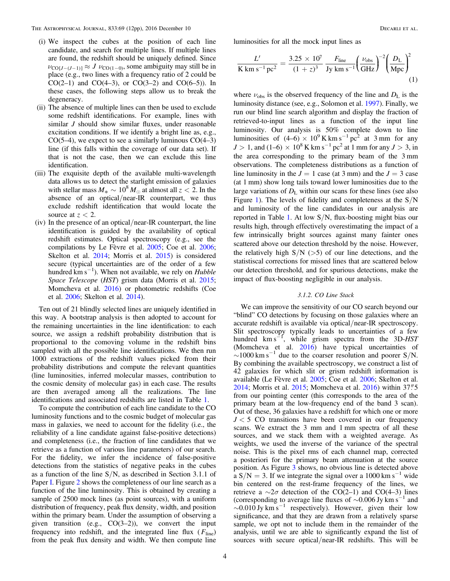- (i) We inspect the cubes at the position of each line candidate, and search for multiple lines. If multiple lines are found, the redshift should be uniquely defined. Since  $\nu_{\text{CO}[J-(J-1)]} \approx J \nu_{\text{CO}(1-0)}$ , some ambiguity may still be in place (e.g., two lines with a frequency ratio of 2 could be CO(2–1) and CO(4–3), or CO(3–2) and CO(6–5)). In these cases, the following steps allow us to break the degeneracy.
- (ii) The absence of multiple lines can then be used to exclude some redshift identifications. For example, lines with similar *J* should show similar fluxes, under reasonable excitation conditions. If we identify a bright line as, e.g.,  $CO(5-4)$ , we expect to see a similarly luminous  $CO(4-3)$ line (if this falls within the coverage of our data set). If that is not the case, then we can exclude this line identification.
- (iii) The exquisite depth of the available multi-wavelength data allows us to detect the starlight emission of galaxies with stellar mass  $M_* \sim 10^8 M_{\odot}$  at almost all  $z < 2$ . In the absence of an optical/near-IR counterpart, we thus exclude redshift identification that would locate the source at  $z < 2$ .
- (iv) In the presence of an optical/near-IR counterpart, the line identification is guided by the availability of optical redshift estimates. Optical spectroscopy (e.g., see the compilations by Le Fèvre et al. [2005](#page-10-28); Coe et al. [2006](#page-10-29); Skelton et al. [2014;](#page-11-25) Morris et al. [2015](#page-11-26)) is considered secure (typical uncertainties are of the order of a few hundred  $\rm km~s^{-1}$ ). When not available, we rely on *Hubble* Space Telescope (HST) grism data (Morris et al. [2015](#page-11-26); Momcheva et al. [2016](#page-11-27)) or photometric redshifts (Coe et al. [2006;](#page-10-29) Skelton et al. [2014](#page-11-25)).

Ten out of 21 blindly selected lines are uniquely identified in this way. A bootstrap analysis is then adopted to account for the remaining uncertainties in the line identification: to each source, we assign a redshift probability distribution that is proportional to the comoving volume in the redshift bins sampled with all the possible line identifications. We then run 1000 extractions of the redshift values picked from their probability distributions and compute the relevant quantities (line luminosities, inferred molecular masses, contribution to the cosmic density of molecular gas) in each case. The results are then averaged among all the realizations. The line identifications and associated redshifts are listed in Table [1](#page-4-0).

To compute the contribution of each line candidate to the CO luminosity functions and to the cosmic budget of molecular gas mass in galaxies, we need to account for the fidelity (i.e., the reliability of a line candidate against false-positive detections) and completeness (i.e., the fraction of line candidates that we retrieve as a function of various line parameters) of our search. For the fidelity, we infer the incidence of false-positive detections from the statistics of negative peaks in the cubes as a function of the line  $S/N$ , as described in Section 3.1.1 of Paper [I.](#page-11-23) Figure [2](#page-5-0) shows the completeness of our line search as a function of the line luminosity. This is obtained by creating a sample of 2500 mock lines (as point sources), with a uniform distribution of frequency, peak flux density, width, and position within the primary beam. Under the assumption of observing a given transition (e.g., CO(3–2)), we convert the input frequency into redshift, and the integrated line flux  $(F_{\text{line}})$ from the peak flux density and width. We then compute line

luminosities for all the mock input lines as

$$
\frac{L'}{\text{K km s}^{-1}\text{pc}^2} = \frac{3.25 \times 10^7}{(1+z)^3} \frac{F_{\text{line}}}{\text{Jy km s}^{-1}} \left(\frac{\nu_{\text{obs}}}{\text{GHz}}\right)^{-2} \left(\frac{D_{\text{L}}}{\text{Mpc}}\right)^2 \tag{1}
$$

where  $\nu_{obs}$  is the observed frequency of the line and  $D_{L}$  is the luminosity distance (see, e.g., Solomon et al. [1997](#page-11-28)). Finally, we run our blind line search algorithm and display the fraction of retrieved-to-input lines as a function of the input line luminosity. Our analysis is 50% complete down to line luminosities of  $(4–6) \times 10^9$  K km s<sup>-1</sup> pc<sup>2</sup> at 3 mm for any  $J > 1$ , and (1–6) × 10<sup>8</sup> K km s<sup>-1</sup> pc<sup>2</sup> at 1 mm for any  $J > 3$ , in the area corresponding to the primary beam of the 3 mm observations. The completeness distributions as a function of line luminosity in the  $J = 1$  case (at 3 mm) and the  $J = 3$  case (at 1 mm) show long tails toward lower luminosities due to the large variations of  $D<sub>L</sub>$  within our scans for these lines (see also Figure [1](#page-2-2)). The levels of fidelity and completeness at the S/N and luminosity of the line candidates in our analysis are reported in Table [1](#page-4-0). At low S/N, flux-boosting might bias our results high, through effectively overestimating the impact of a few intrinsically bright sources against many fainter ones scattered above our detection threshold by the noise. However, the relatively high  $S/N$  ( $>5$ ) of our line detections, and the statistiscal corrections for missed lines that are scattered below our detection threshold, and for spurious detections, make the impact of flux-boosting negligible in our analysis.

# 3.1.2. CO Line Stack

We can improve the sensitivity of our CO search beyond our "blind" CO detections by focusing on those galaxies where an accurate redshift is available via optical/near-IR spectroscopy. Slit spectroscopy typically leads to uncertainties of a few hundred km s<sup> $-1$ </sup>, while grism spectra from the 3D-HST (Momcheva et al. [2016](#page-11-27)) have typical uncertainties of  $\sim$ 1000 km s<sup>-1</sup> due to the coarser resolution and poorer S/N. By combining the available spectroscopy, we construct a list of 42 galaxies for which slit or grism redshift information is available (Le Fèvre et al. [2005;](#page-10-28) Coe et al. [2006;](#page-10-29) Skelton et al. [2014;](#page-11-25) Morris et al. [2015;](#page-11-26) Momcheva et al. [2016](#page-11-27)) within 37"5 from our pointing center (this corresponds to the area of the primary beam at the low-frequency end of the band 3 scan). Out of these, 36 galaxies have a redshift for which one or more  $J < 5$  CO transitions have been covered in our frequency scans. We extract the 3 mm and 1 mm spectra of all these sources, and we stack them with a weighted average. As weights, we used the inverse of the variance of the spectral noise. This is the pixel rms of each channel map, corrected a posteriori for the primary beam attenuation at the source position. As Figure [3](#page-5-1) shows, no obvious line is detected above a  $S/N = 3$ . If we integrate the signal over a 1000 km s<sup>-1</sup> wide bin centered on the rest-frame frequency of the lines, we retrieve a ∼2σ detection of the CO(2–1) and CO(4–3) lines (corresponding to average line fluxes of  $\sim$ 0.006 Jy km s<sup>-1</sup> and  $\sim$ 0.010 Jy km s<sup>-1</sup> respectively). However, given their low significance, and that they are drawn from a relatively sparse sample, we opt not to include them in the remainder of the analysis, until we are able to significantly expand the list of sources with secure optical/near-IR redshifts. This will be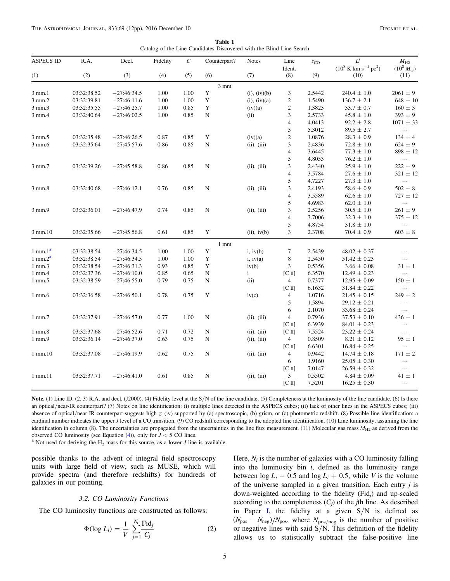Catalog of the Line Candidates Discovered with the Blind Line Search

<span id="page-4-0"></span>

| <b>ASPECS ID</b> | R.A.        | Decl.         | Fidelity | $\mathcal{C}_{0}^{0}$ | Counterpart?   | <b>Notes</b>      | Line                    | $z_{\rm CO}$ | $L^\prime$                                | $M_{\rm H2}$       |
|------------------|-------------|---------------|----------|-----------------------|----------------|-------------------|-------------------------|--------------|-------------------------------------------|--------------------|
|                  |             |               |          |                       |                |                   | Ident.                  |              | $(10^8 \text{ K km s}^{-1} \text{ pc}^2)$ | $(10^8 M_{\odot})$ |
| (1)              | (2)         | (3)           | (4)      | (5)                   | (6)            | (7)               | (8)                     | (9)          | (10)                                      | (11)               |
|                  |             |               |          |                       | $3 \text{ mm}$ |                   |                         |              |                                           |                    |
| 3 mm.1           | 03:32:38.52 | $-27:46:34.5$ | 1.00     | 1.00                  | Y              | $(i)$ , $(iv)(b)$ | 3                       | 2.5442       | $240.4 \pm 1.0$                           | $2061 \pm 9$       |
| 3 mm.2           | 03:32:39.81 | $-27:46:11.6$ | 1.00     | 1.00                  | $\mathbf Y$    | $(i)$ , $(iv)(a)$ | $\overline{c}$          | 1.5490       | $136.7 \pm 2.1$                           | $648\,\pm\,10$     |
| 3 mm.3           | 03:32:35.55 | $-27:46:25.7$ | 1.00     | 0.85                  | Y              | (iv)(a)           | $\sqrt{2}$              | 1.3823       | $33.7 \pm 0.7$                            | $160 \pm 3$        |
| 3 mm.4           | 03:32:40.64 | $-27:46:02.5$ | 1.00     | 0.85                  | ${\bf N}$      | (ii)              | 3                       | 2.5733       | $45.8 \pm 1.0$                            | $393 \pm 9$        |
|                  |             |               |          |                       |                |                   | $\overline{4}$          | 4.0413       | $92.2 \pm 2.8$                            | $1071 \pm 33$      |
|                  |             |               |          |                       |                |                   | $\sqrt{5}$              | 5.3012       | $89.5 \pm 2.7$                            | $\ldots$           |
| 3 mm.5           | 03:32:35.48 | $-27:46:26.5$ | 0.87     | 0.85                  | $\mathbf Y$    | (iv)(a)           | $\sqrt{2}$              | 1.0876       | $28.3 \pm 0.9$                            | 134 $\pm$ 4        |
| 3 mm.6           | 03:32:35.64 | $-27:45:57.6$ | 0.86     | 0.85                  | N              | (ii), (iii)       | 3                       | 2.4836       | $72.8 \pm 1.0$                            | $624 \pm 9$        |
|                  |             |               |          |                       |                |                   | $\overline{4}$          | 3.6445       | $77.3 \pm 1.0$                            | $898 \pm 12$       |
|                  |             |               |          |                       |                |                   | 5                       | 4.8053       | $76.2 \pm 1.0$                            | $\ldots$           |
| 3 mm.7           | 03:32:39.26 | $-27:45:58.8$ | 0.86     | 0.85                  | ${\bf N}$      | (ii), (iii)       | 3                       | 2.4340       | $25.9 \pm 1.0$                            | $222 \pm 9$        |
|                  |             |               |          |                       |                |                   | $\overline{\mathbf{4}}$ | 3.5784       | $27.6 \pm 1.0$                            | $321 \pm 12$       |
|                  |             |               |          |                       |                |                   | 5                       | 4.7227       | $27.3 \pm 1.0$                            | $\dots$            |
| 3 mm.8           | 03:32:40.68 | $-27:46:12.1$ | 0.76     | 0.85                  | $\mathbf N$    | (ii), (iii)       | 3                       | 2.4193       | $58.6 \pm 0.9$                            | $502 \pm 8$        |
|                  |             |               |          |                       |                |                   | $\overline{\mathbf{4}}$ | 3.5589       | $62.6 \pm 1.0$                            | $727 \pm 12$       |
|                  |             |               |          |                       |                |                   | 5                       | 4.6983       | $62.0 \pm 1.0$                            | $\dots$            |
| 3 mm.9           | 03:32:36.01 | $-27:46:47.9$ | 0.74     | 0.85                  | ${\bf N}$      | (ii), (iii)       | 3                       | 2.5256       | $30.5\,\pm\,1.0$                          | $261 \pm 9$        |
|                  |             |               |          |                       |                |                   | $\overline{\mathbf{4}}$ | 3.7006       | $32.3 \pm 1.0$                            | $375 \pm 12$       |
|                  |             |               |          |                       |                |                   | 5                       | 4.8754       | $31.8 \pm 1.0$                            | $\ldots$ .         |
| 3 mm.10          | 03:32:35.66 | $-27:45:56.8$ | 0.61     | 0.85                  | Y              | (ii), iv(b)       | $\overline{3}$          | 2.3708       | $70.4\,\pm\,0.9$                          | $603 \pm 8$        |
|                  |             |               |          |                       | $1$ mm         |                   |                         |              |                                           |                    |
| $1$ mm. $1a$     | 03:32:38.54 | $-27:46:34.5$ | 1.00     | 1.00                  | Y              | i, iv(b)          | $\tau$                  | 2.5439       | $48.02 \pm 0.37$                          | $\ldots$           |
| $1$ mm. $2a$     | 03:32:38.54 | $-27:46:34.5$ | 1.00     | 1.00                  | $\mathbf Y$    | i, iv(a)          | $\,$ 8 $\,$             | 2.5450       | $51.42 \pm 0.23$                          | $\dots$            |
| 1 mm.3           | 03:32:38.54 | $-27:46:31.3$ | 0.93     | 0.85                  | Y              | iv(b)             | 3                       | 0.5356       | $3.66 \pm 0.08$                           | $31 \pm 1$         |
| 1 mm.4           | 03:32:37.36 | $-27:46:10.0$ | 0.85     | 0.65                  | ${\bf N}$      | $\mathbf{i}$      | $[C \, II]$             | 6.3570       | $12.49 \pm 0.23$                          | $\ldots$           |
| 1 mm.5           | 03:32:38.59 | $-27:46:55.0$ | 0.79     | 0.75                  | ${\bf N}$      | (ii)              | $\overline{4}$          | 0.7377       | $12.95 \pm 0.09$                          | $150 \pm 1$        |
|                  |             |               |          |                       |                |                   | $[C \, II]$             | 6.1632       | $31.84 \pm 0.22$                          | $\ldots$           |
| $1$ mm. $6$      | 03:32:36.58 | $-27:46:50.1$ | 0.78     | 0.75                  | $\mathbf Y$    | iv(c)             | $\overline{4}$          | 1.0716       | $21.45 \pm 0.15$                          | $249 \pm 2$        |
|                  |             |               |          |                       |                |                   | 5                       | 1.5894       | $29.12 \pm 0.21$                          | $\ldots$           |
|                  |             |               |          |                       |                |                   | 6                       | 2.1070       | $33.68 \pm 0.24$                          | $\ldots$           |
| $1$ mm. $7$      | 03:32:37.91 | $-27:46:57.0$ | 0.77     | 1.00                  | N              | (ii), (iii)       | $\overline{4}$          | 0.7936       | $37.53 \pm 0.10$                          | $436 \pm 1$        |
|                  |             |               |          |                       |                |                   | $[C \, II]$             | 6.3939       | $84.01 \pm 0.23$                          | $\cdots$           |
| $1$ mm. $8$      | 03:32:37.68 | $-27:46:52.6$ | 0.71     | 0.72                  | N              | (ii), (iii)       | $[C \, II]$             | 7.5524       | $23.22 \pm 0.24$                          | $\ldots$           |
| 1 mm.9           | 03:32:36.14 | $-27:46:37.0$ | 0.63     | 0.75                  | N              | (ii), (iii)       | $\overline{4}$          | 0.8509       | $8.21 \pm 0.12$                           | $95\pm1$           |
|                  |             |               |          |                       |                |                   | $[C \, II]$             | 6.6301       | $16.84 \pm 0.25$                          | $\cdots$           |
| 1 mm.10          | 03:32:37.08 | $-27:46:19.9$ | 0.62     | 0.75                  | ${\bf N}$      | (ii), (iii)       | $\overline{4}$          | 0.9442       | $14.74 \pm 0.18$                          | $171 \pm 2$        |
|                  |             |               |          |                       |                |                   | 6                       | 1.9160       | $25.05 \pm 0.30$                          | $\ldots$           |
|                  |             |               |          |                       |                |                   | $[C \, II]$             | 7.0147       | $26.59 \pm 0.32$                          | $\ldots$           |
| 1 mm.11          | 03:32:37.71 | $-27:46:41.0$ | 0.61     | 0.85                  | N              | (ii), (iii)       | 3                       | 0.5502       | $4.84 \pm 0.09$                           | $41 \pm 1$         |
|                  |             |               |          |                       |                |                   | $[C \, II]$             | 7.5201       | $16.25 \pm 0.30$                          | $\ldots$           |
|                  |             |               |          |                       |                |                   |                         |              |                                           |                    |

Note. (1) Line ID. (2, 3) R.A. and decl. (J2000). (4) Fidelity level at the S/N of the line candidate. (5) Completeness at the luminosity of the line candidate. (6) Is there an optical/near-IR counterpart? (7) Notes on line identification: (i) multiple lines detected in the ASPECS cubes; (ii) lack of other lines in the ASPECS cubes; (iii) absence of optical/near-IR counterpart suggests high z; (iv) supported by (a) spectroscopic, (b) grism, or (c) photometric redshift. (8) Possible line identification: a cardinal number indicates the upper J level of a CO transition. (9) CO redshift corresponding to the adopted line identification. (10) Line luminosity, assuming the line identification in column (8). The uncertainties are propagated from the uncertainties in the line flux measurement. (11) Molecular gas mass  $M_{H2}$  as derived from the observed CO luminosity (see Equation (4)), only for

<sup>a</sup> Not used for deriving the  $H_2$  mass for this source, as a lower-*J* line is available.

possible thanks to the advent of integral field spectroscopy units with large field of view, such as MUSE, which will provide spectra (and therefore redshifts) for hundreds of galaxies in our pointing.

#### 3.2. CO Luminosity Functions

<span id="page-4-1"></span>The CO luminosity functions are constructed as follows:

$$
\Phi(\log L_i) = \frac{1}{V} \sum_{j=1}^{N_i} \frac{\text{Fid}_j}{C_j} \tag{2}
$$

Here,  $N_i$  is the number of galaxies with a CO luminosity falling into the luminosity bin  $i$ , defined as the luminosity range between  $\log L_i - 0.5$  and  $\log L_i + 0.5$ , while V is the volume of the universe sampled in a given transition. Each entry  $j$  is down-weighted according to the fidelity (Fid<sub>i</sub>) and up-scaled according to the completeness  $(C_i)$  of the *j*th line. As described in Paper [I,](#page-11-23) the fidelity at a given S/N is defined as  $(N_{\text{pos}} - N_{\text{neg}})/N_{\text{pos}}$ , where  $N_{\text{pos/neg}}$  is the number of positive or negative lines with said  $S/N$ . This definition of the fidelity allows us to statistically subtract the false-positive line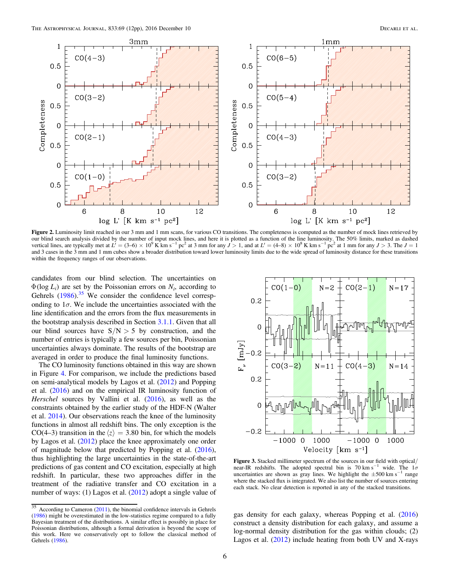<span id="page-5-0"></span>

Figure 2. Luminosity limit reached in our 3 mm and 1 mm scans, for various CO transitions. The completeness is computed as the number of mock lines retrieved by our blind search analysis divided by the number of input mock lines, and here it is plotted as a function of the line luminosity. The 50% limits, marked as dashed vertical lines, are typically met at  $L' = (3-6) \times 10^9$  K km s<sup>-1</sup> pc<sup>2</sup> at 3 mm for any  $J > 1$ , and at  $L' = (4-8) \times 10^8$  K km s<sup>-1</sup> pc<sup>2</sup> at 1 mm for any  $J > 3$ . The  $J = 1$ and 3 cases in the 3 mm and 1 mm cubes show a broader distribution toward lower luminosity limits due to the wide spread of luminosity distance for these transitions within the frequency ranges of our observations.

candidates from our blind selection. The uncertainties on  $\Phi(\log L_i)$  are set by the Poissonian errors on  $N_i$ , according to Gehrels ([1986](#page-10-30)).<sup>[35](#page-5-2)</sup> We consider the confidence level corresponding to  $1\sigma$ . We include the uncertainties associated with the line identification and the errors from the flux measurements in the bootstrap analysis described in Section [3.1.1.](#page-2-4) Given that all our blind sources have  $S/N > 5$  by construction, and the number of entries is typically a few sources per bin, Poissonian uncertainties always dominate. The results of the bootstrap are averaged in order to produce the final luminosity functions.

The CO luminosity functions obtained in this way are shown in Figure [4.](#page-6-1) For comparison, we include the predictions based on semi-analytical models by Lagos et al. ([2012](#page-10-18)) and Popping et al. ([2016](#page-11-18)) and on the empirical IR luminosity function of Herschel sources by Vallini et al. ([2016](#page-11-21)), as well as the constraints obtained by the earlier study of the HDF-N (Walter et al. [2014](#page-11-22)). Our observations reach the knee of the luminosity functions in almost all redshift bins. The only exception is the CO(4–3) transition in the  $\langle z \rangle = 3.80$  bin, for which the models by Lagos et al. ([2012](#page-10-18)) place the knee approximately one order of magnitude below that predicted by Popping et al. ([2016](#page-11-18)), thus highlighting the large uncertainties in the state-of-the-art predictions of gas content and CO excitation, especially at high redshift. In particular, these two approaches differ in the treatment of the radiative transfer and CO excitation in a number of ways: (1) Lagos et al. ([2012](#page-10-18)) adopt a single value of

<span id="page-5-1"></span>

Figure 3. Stacked millimeter spectrum of the sources in our field with optical/ near-IR redshifts. The adopted spectral bin is 70 km s<sup>-1</sup> wide. The  $1\sigma$ uncertainties are shown as gray lines. We highlight the  $\pm 500$  km s<sup>-1</sup> range where the stacked flux is integrated. We also list the number of sources entering each stack. No clear detection is reported in any of the stacked transitions.

gas density for each galaxy, whereas Popping et al. ([2016](#page-11-18)) construct a density distribution for each galaxy, and assume a log-normal density distribution for the gas within clouds; (2) Lagos et al. ([2012](#page-10-18)) include heating from both UV and X-rays

<span id="page-5-2"></span> $\overline{\frac{35}{35}}$  According to Cameron ([2011](#page-10-31)), the binomial confidence intervals in Gehrels ([1986](#page-10-30)) might be overestimated in the low-statistics regime compared to a fully Bayesian treatment of the distributions. A similar effect is possibly in place for Poissonian distributions, although a formal derivation is beyond the scope of this work. Here we conservatively opt to follow the classical method of Gehrels ([1986](#page-10-30)).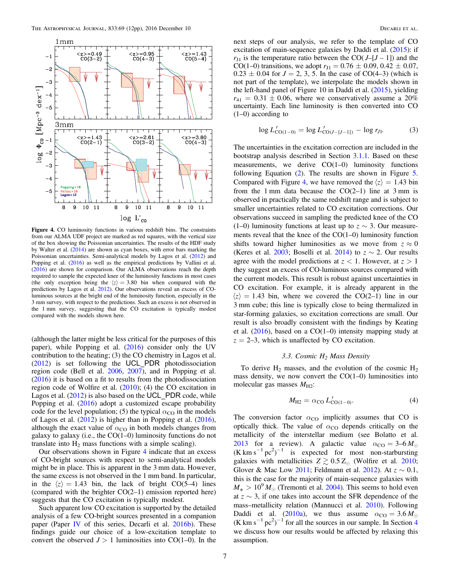<span id="page-6-1"></span>

Figure 4. CO luminosity functions in various redshift bins. The constraints from our ALMA UDF project are marked as red squares, with the vertical size of the box showing the Poissonian uncertainties. The results of the HDF study by Walter et al. ([2014](#page-11-22)) are shown as cyan boxes, with error bars marking the Poissonian uncertainties. Semi-analytical models by Lagos et al. ([2012](#page-10-18)) and Popping et al. ([2016](#page-11-18)) as well as the empirical predictions by Vallini et al. ([2016](#page-11-21)) are shown for comparison. Our ALMA observations reach the depth required to sample the expected knee of the luminosity functions in most cases (the only exception being the  $\langle z \rangle = 3.80$  bin when compared with the predictions by Lagos et al. [2012](#page-10-18)). Our observations reveal an excess of COluminous sources at the bright end of the luminosity function, especially in the 3 mm survey, with respect to the predictions. Such an excess is not observed in the 1 mm survey, suggesting that the CO excitation is typically modest compared with the models shown here.

(although the latter might be less critical for the purposes of this paper), while Popping et al. ([2016](#page-11-18)) consider only the UV contribution to the heating; (3) the CO chemistry in Lagos et al. ([2012](#page-10-18)) is set following the UCL\_PDR photodissociation region code (Bell et al. [2006](#page-10-32), [2007](#page-10-33)), and in Popping et al. ([2016](#page-11-18)) it is based on a fit to results from the photodissociation region code of Wolfire et al. ([2010](#page-11-29)); (4) the CO excitation in Lagos et al. ([2012](#page-10-18)) is also based on the UCL\_PDR code, while Popping et al. ([2016](#page-11-18)) adopt a customized escape probability code for the level population; (5) the typical  $\alpha_{\text{CO}}$  in the models of Lagos et al. ([2012](#page-10-18)) is higher than in Popping et al. ([2016](#page-11-18)), although the exact value of  $\alpha_{\text{CO}}$  in both models changes from galaxy to galaxy (i.e., the  $CO(1-0)$  luminosity functions do not translate into  $H_2$  mass functions with a simple scaling).

Our observations shown in Figure [4](#page-6-1) indicate that an excess of CO-bright sources with respect to semi-analytical models might be in place. This is apparent in the 3 mm data. However, the same excess is not observed in the 1 mm band. In particular, in the  $\langle z \rangle = 1.43$  bin, the lack of bright CO(5–4) lines (compared with the brighter CO(2–1) emission reported here) suggests that the CO excitation is typically modest.

Such apparent low CO excitation is supported by the detailed analysis of a few CO-bright sources presented in a companion paper (Paper [IV](#page-10-34) of this series, Decarli et al.  $2016b$ ). These findings guide our choice of a low-excitation template to convert the observed  $J > 1$  luminosities into CO(1–0). In the next steps of our analysis, we refer to the template of CO excitation of main-sequence galaxies by Daddi et al. ([2015](#page-10-13)): if  $r_{11}$  is the temperature ratio between the CO( $J-[J-1]$ ) and the CO(1–0) transitions, we adopt  $r_{J1} = 0.76 \pm 0.09, 0.42 \pm 0.07$ ,  $0.23 \pm 0.04$  for  $J = 2, 3, 5$ . In the case of CO(4–3) (which is not part of the template), we interpolate the models shown in the left-hand panel of Figure 10 in Daddi et al. ([2015](#page-10-13)), yielding  $r_{41} = 0.31 \pm 0.06$ , where we conservatively assume a 20% uncertainty. Each line luminosity is then converted into CO (1–0) according to

$$
\log L'_{\text{CO}(1-0)} = \log L'_{\text{CO}(J-[J-1])} - \log r_{J1}.
$$
 (3)

The uncertainties in the excitation correction are included in the bootstrap analysis described in Section [3.1.1.](#page-2-4) Based on these measurements, we derive CO(1–0) luminosity functions following Equation ([2](#page-4-1)). The results are shown in Figure [5](#page-7-0). Compared with Figure [4,](#page-6-1) we have removed the  $\langle z \rangle = 1.43$  bin from the 1 mm data because the  $CO(2-1)$  line at 3 mm is observed in practically the same redshift range and is subject to smaller uncertainties related to CO excitation corrections. Our observations succeed in sampling the predicted knee of the CO (1–0) luminosity functions at least up to  $z \sim 3$ . Our measurements reveal that the knee of the CO(1–0) luminosity function shifts toward higher luminosities as we move from  $z \approx 0$ (Keres et al. [2003;](#page-10-35) Boselli et al. [2014](#page-10-36)) to  $z \sim 2$ . Our results agree with the model predictions at  $z < 1$ . However, at  $z > 1$ they suggest an excess of CO-luminous sources compared with the current models. This result is robust against uncertainties in CO excitation. For example, it is already apparent in the  $\langle z \rangle$  = 1.43 bin, where we covered the CO(2–1) line in our 3 mm cube; this line is typically close to being thermalized in star-forming galaxies, so excitation corrections are small. Our result is also broadly consistent with the findings by Keating et al.  $(2016)$  $(2016)$  $(2016)$ , based on a CO(1–0) intensity mapping study at  $z = 2-3$ , which is unaffected by CO excitation.

# 3.3. Cosmic  $H_2$  Mass Density

<span id="page-6-0"></span>To derive  $H_2$  masses, and the evolution of the cosmic  $H_2$ mass density, we now convert the  $CO(1-0)$  luminosities into molecular gas masses  $M_{\text{H2}}$ :

$$
M_{\text{H2}} = \alpha_{\text{CO}} L'_{\text{CO}(1-0)}.
$$
 (4)

The conversion factor  $\alpha_{\rm CO}$  implicitly assumes that CO is optically thick. The value of  $\alpha_{\rm CO}$  depends critically on the metallicity of the interstellar medium (see Bolatto et al. [2013](#page-10-38) for a review). A galactic value  $\alpha_{\text{CO}} = 3-6 M_{\odot}$  $(K \text{ km s}^{-1} \text{ pc}^2)^{-1}$  is expected for most non-starbursting galaxies with metallicities  $Z \gtrsim 0.5 Z_{\odot}$  (Wolfire et al. [2010](#page-11-29); Glover & Mac Low [2011;](#page-10-39) Feldmann et al. [2012](#page-10-40)). At  $z \sim 0.1$ , this is the case for the majority of main-sequence galaxies with  $M_* > 10^9 M_{\odot}$  (Tremonti et al. [2004](#page-11-30)). This seems to hold even at z ∼ 3, if one takes into account the SFR dependence of the mass–metallicity relation (Mannucci et al. [2010](#page-11-31)). Following Daddi et al. ([2010a](#page-10-11)), we thus assume  $\alpha_{\text{CO}} = 3.6 M_{\odot}$  $(K \text{ km s}^{-1} \text{ pc}^2)^{-1}$  for all the sources in our sample. In Section [4](#page-9-0) we discuss how our results would be affected by relaxing this assumption.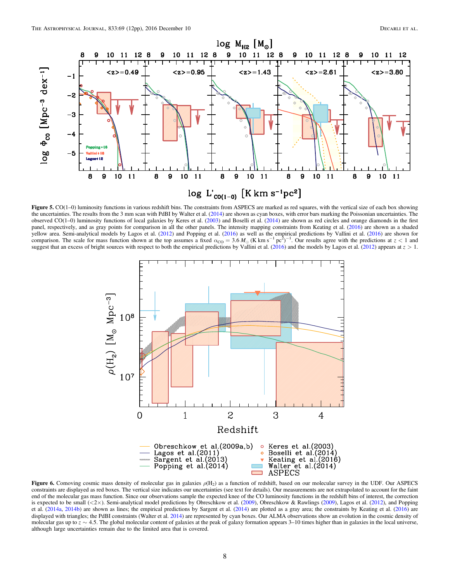<span id="page-7-0"></span>

<span id="page-7-1"></span>Figure 5. CO(1–0) luminosity functions in various redshift bins. The constraints from ASPECS are marked as red squares, with the vertical size of each box showing the uncertainties. The results from the 3 mm scan with PdBI by Walter et al. ([2014](#page-11-22)) are shown as cyan boxes, with error bars marking the Poissonian uncertainties. The observed  $CO(1-0)$  luminosity functions of local galaxies by Keres et al.  $(2003)$  $(2003)$  $(2003)$  and Boselli et al.  $(2014)$  $(2014)$  $(2014)$  are shown as red circles and orange diamonds in the first panel, respectively, and as gray points for comparison in all the other panels. The intensity mapping constraints from Keating et al. ([2016](#page-10-37)) are shown as a shaded yellow area. Semi-analytical models by Lagos et al. ([2012](#page-10-18)) and Popping et al. ([2016](#page-11-18)) as well as the empirical predictions by Vallini et al. ([2016](#page-11-21)) are shown for comparison. The scale for mass function shown at the top assumes a fixed  $\alpha_{\rm CO} = 3.6 M_{\odot}$  (K km s<sup>-1</sup> pc<sup>2</sup>)<sup>-1</sup>. Our results agree with the predictions at  $z < 1$  and suggest that an excess of bright sources with respect to both the empirical predictions by Vallini et al. ([2016](#page-11-21)) and the models by Lagos et al. ([2012](#page-10-18)) appears at  $z > 1$ .



Figure 6. Comoving cosmic mass density of molecular gas in galaxies  $\rho(H_2)$  as a function of redshift, based on our molecular survey in the UDF. Our ASPECS constraints are displayed as red boxes. The vertical size indicates our uncertainties (see text for details). Our measurements are not extrapolated to account for the faint end of the molecular gas mass function. Since our observations sample the expected knee of the CO luminosity functions in the redshift bins of interest, the correction is expected to be small  $\langle 2 \times \rangle$ . Semi-analytical model predictions by Obreschkow et al. ([2009](#page-11-15)), Obreschkow & Rawlings (2009), Lagos et al. ([2012](#page-10-18)), and Popping et al. ([2014a,](#page-11-16) [2014b](#page-11-17)) are shown as lines; the empirical predictions by Sargent et al. ([2014](#page-11-20)) are plotted as a gray area; the constraints by Keating et al. ([2016](#page-10-37)) are displayed with triangles; the PdBI constraints (Walter et al. [2014](#page-11-22)) are represented by cyan boxes. Our ALMA observations show an evolution in the cosmic density of molecular gas up to  $z \sim 4.5$ . The global molecular content of galaxies at the peak of galaxy formation appears 3–10 times higher than in galaxies in the local universe, although large uncertainties remain due to the limited area that is covered.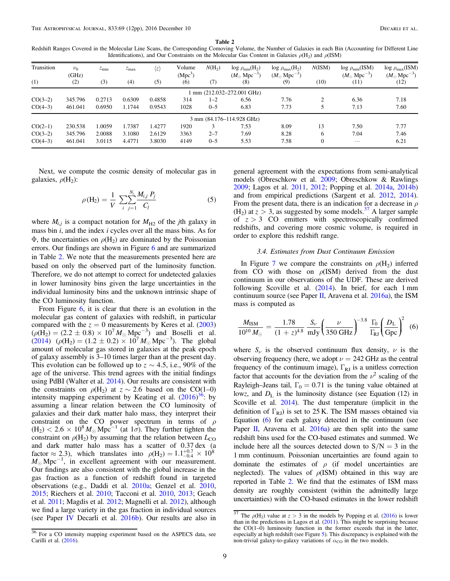<span id="page-8-0"></span>Redshift Ranges Covered in the Molecular Line Scans, the Corresponding Comoving Volume, the Number of Galaxies in each Bin (Accounting for Different Line Identifications), and Our Constraints on the Molecular Gas Content in Galaxies  $\rho(H_2)$  and  $\rho(ISM)$ 

| Transition<br>(1) | $\nu_0$<br>(GHz)<br>(2) | $z_{\rm min}$<br>(3) | $z_{\rm max}$<br>(4) | $\langle z \rangle$<br>(5) | Volume<br>(Mpc <sup>3</sup> )<br>(6) | $N(H_2)$<br>(7) | $log \rho_{min}(H_2)$<br>$(M_{\odot} \, \text{Mpc}^{-3})$<br>(8) | $log \rho_{max}(H_2)$<br>$(M_{\odot} \text{ Mpc}^{-3})$<br>(9) | N(ISM)<br>(10) | $log \rho_{min}(ISM)$<br>$(M_{\odot} \text{ Mpc}^{-3})$<br>(11) | $log \rho_{max}(ISM)$<br>$(M_{\odot} \text{ Mpc}^{-3})$<br>(12) |
|-------------------|-------------------------|----------------------|----------------------|----------------------------|--------------------------------------|-----------------|------------------------------------------------------------------|----------------------------------------------------------------|----------------|-----------------------------------------------------------------|-----------------------------------------------------------------|
|                   |                         |                      |                      |                            |                                      |                 | mm (212.032–272.001 GHz)                                         |                                                                |                |                                                                 |                                                                 |
| $CO(3-2)$         | 345.796                 | 0.2713               | 0.6309               | 0.4858                     | 314                                  | $1 - 2$         | 6.56                                                             | 7.76                                                           | 2              | 6.36                                                            | 7.18                                                            |
| $CO(4-3)$         | 461.041                 | 0.6950               | 1.1744               | 0.9543                     | 1028                                 | $0 - 5$         | 6.83                                                             | 7.73                                                           |                | 7.13                                                            | 7.60                                                            |
|                   |                         |                      |                      |                            |                                      |                 | 3 mm (84.176–114.928 GHz)                                        |                                                                |                |                                                                 |                                                                 |
| $CO(2-1)$         | 230.538                 | 1.0059               | 1.7387               | 1.4277                     | 1920                                 |                 | 7.53                                                             | 8.09                                                           | 13             | 7.50                                                            | 7.77                                                            |
| $CO(3-2)$         | 345.796                 | 2.0088               | 3.1080               | 2.6129                     | 3363                                 | $2 - 7$         | 7.69                                                             | 8.28                                                           | 6              | 7.04                                                            | 7.46                                                            |
| $CO(4-3)$         | 461.041                 | 3.0115               | 4.4771               | 3.8030                     | 4149                                 | $0 - 5$         | 5.53                                                             | 7.58                                                           | $\overline{0}$ | $\cdots$                                                        | 6.21                                                            |

Next, we compute the cosmic density of molecular gas in galaxies,  $\rho(H_2)$ :

$$
\rho(\mathbf{H}_2) = \frac{1}{V} \sum_{i} \sum_{j=1}^{N_i} \frac{M_{i,j} P_j}{C_j} \tag{5}
$$

where  $M_{i,j}$  is a compact notation for  $M_{H2}$  of the *j*th galaxy in mass bin  $i$ , and the index  $i$  cycles over all the mass bins. As for Φ, the uncertainties on  $ρ$ (H<sub>2</sub>) are dominated by the Poissonian errors. Our findings are shown in Figure [6](#page-7-1) and are summarized in Table [2.](#page-8-0) We note that the measurements presented here are based on only the observed part of the luminosity function. Therefore, we do not attempt to correct for undetected galaxies in lower luminosity bins given the large uncertainties in the individual luminosity bins and the unknown intrinsic shape of the CO luminosity function.

From Figure [6](#page-7-1), it is clear that there is an evolution in the molecular gas content of galaxies with redshift, in particular compared with the  $z = 0$  measurements by Keres et al. ([2003](#page-10-35))  $(\rho(H_2) = (2.2 \pm 0.8) \times 10^7 M_{\odot} \text{Mpc}^{-3})$  and Boselli et al.  $(2014)$  $(2014)$  $(2014)$  ( $\rho(H_2) = (1.2 \pm 0.2) \times 10^7 M_{\odot}$  Mpc<sup>-3</sup>). The global amount of molecular gas stored in galaxies at the peak epoch of galaxy assembly is 3–10 times larger than at the present day. This evolution can be followed up to  $z \sim 4.5$ , i.e., 90% of the age of the universe. This trend agrees with the initial findings using PdBI (Walter et al. [2014](#page-11-22)). Our results are consistent with the constraints on  $\rho(H_2)$  at  $z \sim 2.6$  based on the CO(1–0) intensity mapping experiment by Keating et al.  $(2016)^{36}$  $(2016)^{36}$  $(2016)^{36}$  $(2016)^{36}$  $(2016)^{36}$ : by assuming a linear relation between the CO luminosity of galaxies and their dark matter halo mass, they interpret their constraint on the CO power spectrum in terms of  $\rho$  $(H_2)$  < 2.6 × 10<sup>8</sup>  $M_{\odot}$  Mpc<sup>-1</sup> (at 1 $\sigma$ ). They further tighten the constraint on  $\rho$ (H<sub>2</sub>) by assuming that the relation between  $L_{CO}$ and dark matter halo mass has a scatter of 0.37 dex (a factor  $\approx$  2.3), which translates into  $\rho(H_2) = 1.1^{+0.7}_{-0.4} \times 10^8$  $M_{\odot}$  Mpc<sup>-1</sup>, in excellent agreement with our measurement. Our findings are also consistent with the global increase in the gas fraction as a function of redshift found in targeted observations (e.g., Daddi et al. [2010a;](#page-10-11) Genzel et al. [2010,](#page-10-14) [2015;](#page-10-15) Riechers et al. [2010;](#page-11-12) Tacconi et al. [2010](#page-11-7), [2013](#page-11-8); Geach et al. [2011;](#page-10-17) Magdis et al. [2012;](#page-11-2) Magnelli et al. [2012](#page-11-13)), although we find a large variety in the gas fraction in individual sources (see Paper [IV](#page-10-34) Decarli et al. [2016b](#page-10-34)). Our results are also in

<span id="page-8-1"></span> $36$  For a CO intensity mapping experiment based on the ASPECS data, see Carilli et al. ([2016](#page-10-41)).

general agreement with the expectations from semi-analytical models (Obreschkow et al. [2009](#page-11-14); Obreschkow & Rawlings [2009;](#page-11-15) Lagos et al. [2011](#page-10-5), [2012;](#page-10-18) Popping et al. [2014a,](#page-11-16) [2014b](#page-11-17)) and from empirical predictions (Sargent et al. [2012,](#page-11-19) [2014](#page-11-20)). From the present data, there is an indication for a decrease in  $\rho$  $(H<sub>2</sub>)$  at  $z > 3$ , as suggested by some models.<sup>[37](#page-8-2)</sup> A larger sample of  $z > 3$  CO emitters with spectroscopically confirmed redshifts, and covering more cosmic volume, is required in order to explore this redshift range.

# 3.4. Estimates from Dust Continuum Emission

In Figure [7](#page-9-1) we compare the constraints on  $\rho(H_2)$  inferred from CO with those on  $\rho$ (ISM) derived from the dust continuum in our observations of the UDF. These are derived following Scoville et al.  $(2014)$  $(2014)$  $(2014)$ . In brief, for each 1 mm continuum source (see Paper [II](#page-10-27), Aravena et al.  $2016a$ ), the ISM mass is computed as

<span id="page-8-3"></span>
$$
\frac{M_{\text{ISM}}}{10^{10} M_{\odot}} = \frac{1.78}{(1+z)^{4.8}} \frac{S_{\nu}}{\text{mJy}} \left(\frac{\nu}{350 \text{ GHz}}\right)^{-3.8} \frac{\Gamma_0}{\Gamma_{\text{RJ}}} \left(\frac{D_{\text{L}}}{\text{Gpc}}\right)^2 \tag{6}
$$

where  $S_{\nu}$  is the observed continuum flux density,  $\nu$  is the observing frequency (here, we adopt  $\nu = 242$  GHz as the central frequency of the continuum image),  $\Gamma_{\text{RI}}$  is a unitless correction factor that accounts for the deviation from the  $\nu^2$  scaling of the Rayleigh–Jeans tail,  $\Gamma_0 = 0.71$  is the tuning value obtained at lowz, and  $D_{\text{L}}$  is the luminosity distance (see Equation (12) in Scoville et al. [2014](#page-11-3)). The dust temperature (implicit in the definition of  $\Gamma_{\rm RJ}$ ) is set to 25 K. The ISM masses obtained via Equation ([6](#page-8-3)) for each galaxy detected in the continuum (see Paper [II,](#page-10-27) Aravena et al. [2016a](#page-10-27)) are then split into the same redshift bins used for the CO-based estimates and summed. We include here all the sources detected down to  $S/N = 3$  in the 1 mm continuum. Poissonian uncertainties are found again to dominate the estimates of  $\rho$  (if model uncertainties are neglected). The values of  $\rho$ (ISM) obtained in this way are reported in Table [2](#page-8-0). We find that the estimates of ISM mass density are roughly consistent (within the admittedly large uncertainties) with the CO-based estimates in the lower redshift

<span id="page-8-2"></span> $\frac{37}{37}$  The  $\rho(H_2)$  value at  $z > 3$  in the models by Popping et al. ([2016](#page-11-18)) is lower than in the predictions in Lagos et al. ([2011](#page-10-5)). This might be surprising because the  $CO(1-0)$  luminosity function in the former exceeds that in the latter, especially at high redshift (see Figure [5](#page-7-0)). This discrepancy is explained with the non-trivial galaxy-to-galaxy variations of  $\alpha_{\rm CO}$  in the two models.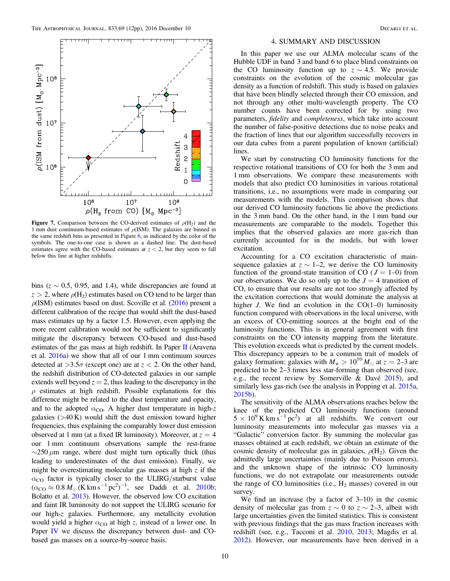<span id="page-9-1"></span>

Figure 7. Comparison between the CO-derived estimates of  $\rho(H_2)$  and the 1 mm dust continuum-based estimates of  $\rho$ (ISM). The galaxies are binned in the same redshift bins as presented in Figure [6](#page-7-1), as indicated by the color of the symbols. The one-to-one case is shown as a dashed line. The dust-based estimates agree with the CO-based estimates at  $z < 2$ , but they seem to fall below this line at higher redshifts.

bins ( $z \sim 0.5$ , 0.95, and 1.4), while discrepancies are found at  $z > 2$ , where  $\rho(H_2)$  estimates based on CO tend to be larger than  $\rho$ (ISM) estimates based on dust. Scoville et al. ([2016](#page-11-4)) present a different calibration of the recipe that would shift the dust-based mass estimates up by a factor 1.5. However, even applying the more recent calibration would not be sufficient to significantly mitigate the discrepancy between CO-based and dust-based estimates of the gas mass at high redshift. In Paper [II](#page-10-27) (Aravena et al. [2016a](#page-10-27)) we show that all of our 1 mm continuum sources detected at  $>3.5\sigma$  (except one) are at  $z < 2$ . On the other hand, the redshift distribution of CO-detected galaxies in our sample extends well beyond  $z = 2$ , thus leading to the discrepancy in the  $\rho$  estimates at high redshift. Possible explanations for this difference might be related to the dust temperature and opacity, and to the adopted  $\alpha_{\rm CO}$ . A higher dust temperature in high-z galaxies  $(>40 \text{ K})$  would shift the dust emission toward higher frequencies, thus explaining the comparably lower dust emission observed at 1 mm (at a fixed IR luminosity). Moreover, at  $z = 4$ our 1 mm continuum observations sample the rest-frame  $\sim$ 250  $\mu$ m range, where dust might turn optically thick (thus leading to underestimates of the dust emission). Finally, we might be overestimating molecular gas masses at high  $z$  if the  $\alpha_{\rm CO}$  factor is typically closer to the ULIRG/starburst value  $(\alpha_{\rm CO} \approx 0.8 M_{\odot} (\text{K km s}^{-1} \text{ pc}^2)^{-1}$ , see Daddi et al. [2010b](#page-10-12); Bolatto et al. [2013](#page-10-38)). However, the observed low CO excitation and faint IR luminosity do not support the ULIRG scenario for our high-z galaxies. Furthermore, any metallicity evolution would yield a higher  $\alpha_{\rm CO}$  at high z, instead of a lower one. In Paper [IV](#page-10-34) we discuss the discrepancy between dust- and CObased gas masses on a source-by-source basis.

#### 4. SUMMARY AND DISCUSSION

<span id="page-9-0"></span>In this paper we use our ALMA molecular scans of the Hubble UDF in band 3 and band 6 to place blind constraints on the CO luminosity function up to  $z \sim 4.5$ . We provide constraints on the evolution of the cosmic molecular gas density as a function of redshift. This study is based on galaxies that have been blindly selected through their CO emission, and not through any other multi-wavelength property. The CO number counts have been corrected for by using two parameters, fidelity and completeness, which take into account the number of false-positive detections due to noise peaks and the fraction of lines that our algorithm successfully recovers in our data cubes from a parent population of known (artificial) lines.

We start by constructing CO luminosity functions for the respective rotational transitions of CO for both the 3 mm and 1 mm observations. We compare these measurements with models that also predict CO luminosities in various rotational transitions, i.e., no assumptions were made in comparing our measurements with the models. This comparison shows that our derived CO luminosity functions lie above the predictions in the 3 mm band. On the other hand, in the 1 mm band our measurements are comparable to the models. Together this implies that the observed galaxies are more gas-rich than currently accounted for in the models, but with lower excitation.

Accounting for a CO excitation characteristic of mainsequence galaxies at  $z \sim 1-2$ , we derive the CO luminosity function of the ground-state transition of CO ( $J = 1-0$ ) from our observations. We do so only up to the  $J = 4$  transition of CO, to ensure that our results are not too strongly affected by the excitation corrections that would dominate the analysis at higher *J*. We find an evolution in the  $CO(1-0)$  luminosity function compared with observations in the local universe, with an excess of CO-emitting sources at the bright end of the luminosity functions. This is in general agreement with first constraints on the CO intensity mapping from the literature. This evolution exceeds what is predicted by the current models. This discrepancy appears to be a common trait of models of galaxy formation: galaxies with  $M_* > 10^{10} M_{\odot}$  at  $z = 2-3$  are predicted to be 2–3 times less star-forming than observed (see, e.g., the recent review by Somerville & Davé [2015](#page-11-32)), and similarly less gas-rich (see the analysis in Popping et al. [2015a](#page-11-33), [2015b](#page-11-34)).

The sensitivity of the ALMA observations reaches below the knee of the predicted CO luminosity functions (around  $5 \times 10^{9}$  K km s<sup>-1</sup> pc<sup>2</sup>) at all redshifts. We convert our luminosity measurements into molecular gas masses via a "Galactic" conversion factor. By summing the molecular gas masses obtained at each redshift, we obtain an estimate of the cosmic density of molecular gas in galaxies,  $\rho(H_2)$ . Given the admittedly large uncertainties (mainly due to Poisson errors), and the unknown shape of the intrinsic CO luminosity functions, we do not extrapolate our measurements outside the range of CO luminosities (i.e.,  $H_2$  masses) covered in our survey.

We find an increase (by a factor of 3–10) in the cosmic density of molecular gas from  $z \sim 0$  to  $z \sim 2-3$ , albeit with large uncertainties given the limited statistics. This is consistent with previous findings that the gas mass fraction increases with redshift (see, e.g., Tacconi et al. [2010](#page-11-7), [2013](#page-11-8); Magdis et al. [2012](#page-11-2)). However, our measurements have been derived in a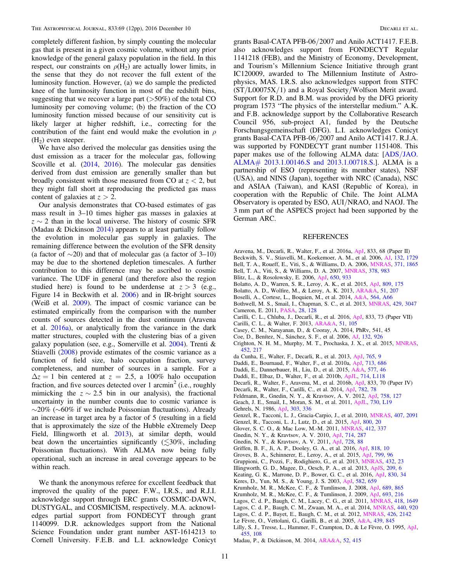completely different fashion, by simply counting the molecular gas that is present in a given cosmic volume, without any prior knowledge of the general galaxy population in the field. In this respect, our constraints on  $\rho(H_2)$  are actually lower limits, in the sense that they do not recover the full extent of the luminosity function. However, (a) we do sample the predicted knee of the luminosity function in most of the redshift bins, suggesting that we recover a large part  $($ >50%) of the total CO luminosity per comoving volume; (b) the fraction of the CO luminosity function missed because of our sensitivity cut is likely larger at higher redshift, i.e., correcting for the contribution of the faint end would make the evolution in  $\rho$  $(H<sub>2</sub>)$  even steeper.

We have also derived the molecular gas densities using the dust emission as a tracer for the molecular gas, following Scoville et al. ([2014](#page-11-3), [2016](#page-11-4)). The molecular gas densities derived from dust emission are generally smaller than but broadly consistent with those measured from CO at  $z < 2$ , but they might fall short at reproducing the predicted gas mass content of galaxies at  $z > 2$ .

Our analysis demonstrates that CO-based estimates of gas mass result in 3–10 times higher gas masses in galaxies at  $z \sim 2$  than in the local universe. The history of cosmic SFR (Madau  $&$  Dickinson  $2014$ ) appears to at least partially follow the evolution in molecular gas supply in galaxies. The remaining difference between the evolution of the SFR density (a factor of  $\sim$ 20) and that of molecular gas (a factor of 3–10) may be due to the shortened depletion timescales. A further contribution to this difference may be ascribed to cosmic variance. The UDF in general (and therefore also the region studied here) is found to be underdense at  $z > 3$  (e.g., Figure 14 in Beckwith et al. [2006](#page-10-26)) and in IR-bright sources (Weiß et al. [2009](#page-11-35)). The impact of cosmic variance can be estimated empirically from the comparison with the number counts of sources detected in the dust continuum (Aravena et al. [2016a](#page-10-27)), or analytically from the variance in the dark matter structures, coupled with the clustering bias of a given galaxy population (see, e.g., Somerville et al. [2004](#page-11-36)). Trenti & Stiavelli ([2008](#page-11-37)) provide estimates of the cosmic variance as a function of field size, halo occupation fraction, survey completeness, and number of sources in a sample. For a  $\Delta z = 1$  bin centered at  $z = 2.5$ , a 100% halo occupation fraction, and five sources detected over 1 arcmin<sup>2</sup> (i.e., roughly mimicking the  $z \sim 2.5$  bin in our analysis), the fractional uncertainty in the number counts due to cosmic variance is ∼20% (∼60% if we include Poissonian fluctuations). Already an increase in target area by a factor of 5 (resulting in a field that is approximately the size of the Hubble eXtremely Deep Field, Illingworth et al. [2013](#page-10-42)), at similar depth, would beat down the uncertainties significantly  $(\leq 30\%$ , including Poissonian fluctuations). With ALMA now being fully operational, such an increase in areal coverage appears to be within reach.

We thank the anonymous referee for excellent feedback that improved the quality of the paper. F.W., I.R.S., and R.J.I. acknowledge support through ERC grants COSMIC-DAWN, DUSTYGAL, and COSMICISM, respectively. M.A. acknowledges partial support from FONDECYT through grant 1140099. D.R. acknowledges support from the National Science Foundation under grant number AST-1614213 to Cornell University. F.E.B. and L.I. acknowledge Conicyt

grants Basal-CATA PFB-06/2007 and Anilo ACT1417. F.E.B. also acknowledges support from FONDECYT Regular 1141218 (FEB), and the Ministry of Economy, Development, and Tourism's Millennium Science Initiative through grant IC120009, awarded to The Millennium Institute of Astrophysics, MAS. I.R.S. also acknowledges support from STFC  $(ST/L00075X/1)$  and a Royal Society/Wolfson Merit award. Support for R.D. and B.M. was provided by the DFG priority program 1573 "The physics of the interstellar medium." A.K. and F.B. acknowledge support by the Collaborative Research Council 956, sub-project A1, funded by the Deutsche Forschungsgemeinschaft (DFG). L.I. acknowledges Conicyt grants Basal-CATA PFB-06/2007 and Anilo ACT1417. R.J.A. was supported by FONDECYT grant number 1151408. This paper makes use of the following ALMA data: [ADS/[JAO.](https://almascience.nrao.edu/aq/) ALMA# [2013.1.00146.S and 2013.1.00718.S.](https://almascience.nrao.edu/aq/)]. ALMA is a partnership of ESO (representing its member states), NSF (USA), and NINS (Japan), together with NRC (Canada), NSC and ASIAA (Taiwan), and KASI (Republic of Korea), in cooperation with the Republic of Chile. The Joint ALMA Observatory is operated by ESO, AUI/NRAO, and NAOJ. The 3 mm part of the ASPECS project had been supported by the German ARC.

#### REFERENCES

- <span id="page-10-27"></span>Aravena, M., Decarli, R., Walter, F., et al. 2016a, [ApJ](http://dx.doi.org/10.3847/1538-4357/833/1/68), 833, 68 (Paper II)
- <span id="page-10-32"></span><span id="page-10-26"></span>Beckwith, S. V., Stiavelli, M., Koekemoer, A. M., et al. 2006, [AJ,](http://dx.doi.org/10.1086/507302) [132, 1729](http://adsabs.harvard.edu/abs/2006AJ....132.1729B) Bell, T. A., Roueff, E., Viti, S., & Williams, D. A. 2006, [MNRAS](http://dx.doi.org/10.1111/j.1365-2966.2006.10817.x), [371, 1865](http://adsabs.harvard.edu/abs/2006MNRAS.371.1865B)
- <span id="page-10-33"></span>Bell, T. A., Viti, S., & Williams, D. A. 2007, [MNRAS](http://dx.doi.org/10.1111/j.1365-2966.2007.11830.x), [378, 983](http://adsabs.harvard.edu/abs/2007MNRAS.378..983B)
- <span id="page-10-20"></span>Blitz, L., & Rosolowsky, E. 2006, [ApJ,](http://dx.doi.org/10.1086/505417) [650, 933](http://adsabs.harvard.edu/abs/2006ApJ...650..933B)
- <span id="page-10-16"></span>Bolatto, A. D., Warren, S. R., Leroy, A. K., et al. 2015, [ApJ](http://dx.doi.org/10.1088/0004-637X/809/2/175), [809, 175](http://adsabs.harvard.edu/abs/2015ApJ...809..175B)
- <span id="page-10-38"></span>Bolatto, A. D., Wolfire, M., & Leroy, A. K. 2013, [ARA&A](http://dx.doi.org/10.1146/annurev-astro-082812-140944), [51, 207](http://adsabs.harvard.edu/abs/2013ARA&A..51..207B)
- <span id="page-10-36"></span>Boselli, A., Cortese, L., Boquien, M., et al. 2014, [A&A](http://dx.doi.org/10.1051/0004-6361/201322312), [564, A66](http://adsabs.harvard.edu/abs/2014A&A...564A..66B)
- <span id="page-10-31"></span><span id="page-10-8"></span>Bothwell, M. S., Smail, I., Chapman, S. C., et al. 2013, [MNRAS,](http://dx.doi.org/10.1093/mnras/sts562) [429, 3047](http://adsabs.harvard.edu/abs/2013MNRAS.429.3047B) Cameron, E. 2011, [PASA,](http://dx.doi.org/10.1071/AS10046) [28, 128](http://adsabs.harvard.edu/abs/2011PASA...28..128C)
- <span id="page-10-41"></span>Carilli, C. L., Chluba, J., Decarli, R., et al. 2016, [ApJ,](http://dx.doi.org/10.3847/1538-4357/833/1/73) 833, 73 (Paper VII)
- <span id="page-10-6"></span>Carilli, C. L., & Walter, F. 2013, [ARA&A](http://dx.doi.org/10.1146/annurev-astro-082812-140953), [51, 105](http://adsabs.harvard.edu/abs/2013ARA&A..51..105C)
- <span id="page-10-10"></span>Casey, C. M., Narayanan, D., & Cooray, A. 2014, PhRv, 541, 45
- <span id="page-10-29"></span>Coe, D., Benítez, N., Sánchez, S. F., et al. 2006, [AJ,](http://dx.doi.org/10.1086/505530) [132, 926](http://adsabs.harvard.edu/abs/2006AJ....132..926C)
- <span id="page-10-3"></span>Crighton, N. H. M., Murphy, M. T., Prochaska, J. X., et al. 2015, [MNRAS](http://dx.doi.org/10.1093/mnras/stv1182)[,](http://adsabs.harvard.edu/abs/2015MNRAS.452..217C) [452, 217](http://adsabs.harvard.edu/abs/2015MNRAS.452..217C)
- <span id="page-10-19"></span>da Cunha, E., Walter, F., Decarli, R., et al. 2013, [ApJ,](http://dx.doi.org/10.1088/0004-637X/765/1/9) [765, 9](http://adsabs.harvard.edu/abs/2013ApJ...765....9D)
- <span id="page-10-11"></span>Daddi, E., Bournaud, F., Walter, F., et al. 2010a, [ApJ,](http://dx.doi.org/10.1088/0004-637X/713/1/686) [713, 686](http://adsabs.harvard.edu/abs/2010ApJ...713..686D)
- <span id="page-10-13"></span>Daddi, E., Dannerbauer, H., Liu, D., et al. 2015, [A&A,](http://dx.doi.org/10.1051/0004-6361/201425043) [577, 46](http://adsabs.harvard.edu/abs/2015A&A...577A..46D)
- <span id="page-10-12"></span>Daddi, E., Elbaz, D., Walter, F., et al. 2010b, [ApJL](http://dx.doi.org/10.1088/2041-8205/714/1/L118), [714, L118](http://adsabs.harvard.edu/abs/2010ApJ...714L.118D)
- <span id="page-10-34"></span>Decarli, R., Walter, F., Aravena, M., et al. 2016b, [ApJ,](http://dx.doi.org/10.3847/1538-4357/833/1/70) 833, 70 (Paper IV)
- <span id="page-10-25"></span>Decarli, R., Walter, F., Carilli, C., et al. 2014, [ApJ](http://dx.doi.org/10.1088/0004-637X/782/2/78), [782, 78](http://adsabs.harvard.edu/abs/2014ApJ...782...78D)
- <span id="page-10-40"></span>Feldmann, R., Gnedin, N. Y., & Kravtsov, A. V. 2012, [ApJ](http://dx.doi.org/10.1088/0004-637X/758/2/127), [758, 127](http://adsabs.harvard.edu/abs/2012ApJ...758..127F)
- <span id="page-10-30"></span><span id="page-10-17"></span>Geach, J. E., Smail, I., Moran, S. M., et al. 2011, [ApJL](http://dx.doi.org/10.1088/2041-8205/730/2/L19), [730, L19](http://adsabs.harvard.edu/abs/2011ApJ...730L..19G) Gehrels, N. 1986, [ApJ,](http://dx.doi.org/10.1086/164079) [303, 336](http://adsabs.harvard.edu/abs/1986ApJ...303..336G)
- <span id="page-10-14"></span>Genzel, R., Tacconi, L. J., Gracia-Carpio, J., et al. 2010, [MNRAS,](http://dx.doi.org/10.1111/j.1365-2966.2010.16969.x) [407, 2091](http://adsabs.harvard.edu/abs/2010MNRAS.407.2091G)
- <span id="page-10-15"></span>Genzel, R., Tacconi, L. J., Lutz, D., et al. 2015, [ApJ](http://dx.doi.org/10.1088/0004-637X/800/1/20), [800, 20](http://adsabs.harvard.edu/abs/2015ApJ...800...20G)
- <span id="page-10-39"></span>Glover, S. C. O., & Mac Low, M.-M. 2011, [MNRAS,](http://dx.doi.org/10.1111/j.1365-2966.2010.17907.x) [412, 337](http://adsabs.harvard.edu/abs/2011MNRAS.412..337G)
- <span id="page-10-21"></span>Gnedin, N. Y., & Kravtsov, A. V. 2010, [ApJ](http://dx.doi.org/10.1088/0004-637X/714/1/287), [714, 287](http://adsabs.harvard.edu/abs/2010ApJ...714..287G)
- <span id="page-10-22"></span>Gnedin, N. Y., & Kravtsov, A. V. 2011, [ApJ](http://dx.doi.org/10.1088/0004-637X/728/2/88), [728, 88](http://adsabs.harvard.edu/abs/2011ApJ...728...88G)
- <span id="page-10-2"></span>Griffen, B. F., Ji, A. P., Dooley, G. A., et al. 2016, [ApJ,](http://dx.doi.org/10.3847/0004-637X/818/1/10) [818, 10](http://adsabs.harvard.edu/abs/2016ApJ...818...10G)
- <span id="page-10-7"></span>Groves, B. A., Schinnerer, E., Leroy, A., et al. 2015, [ApJ,](http://dx.doi.org/10.1088/0004-637X/799/1/96) [799, 96](http://adsabs.harvard.edu/abs/2015ApJ...799...96G)
- <span id="page-10-9"></span>Gruppioni, C., Pozzi, F., Rodighiero, G., et al. 2013, [MNRAS](http://dx.doi.org/10.1093/mnras/stt308), [432, 23](http://adsabs.harvard.edu/abs/2013MNRAS.432...23G)
- <span id="page-10-42"></span>Illingworth, G. D., Magee, D., Oesch, P. A., et al. 2013, [ApJS](http://dx.doi.org/10.1088/0067-0049/209/1/6), [209, 6](http://adsabs.harvard.edu/abs/2013ApJS..209....6I)
- <span id="page-10-37"></span>Keating, G. K., Marrone, D. P., Bower, G. C., et al. 2016, [ApJ,](http://dx.doi.org/10.3847/0004-637X/830/1/34) [830, 34](http://adsabs.harvard.edu/abs/2016ApJ...830...34K)
- <span id="page-10-35"></span>Keres, D., Yun, M. S., & Young, J. S. 2003, [ApJ,](http://dx.doi.org/10.1086/344820) [582, 659](http://adsabs.harvard.edu/abs/2003ApJ...582..659K)
- <span id="page-10-23"></span>Krumholz, M. R., McKee, C. F., & Tumlinson, J. 2008, [ApJ](http://dx.doi.org/10.1086/592490), [689, 865](http://adsabs.harvard.edu/abs/2008ApJ...689..865K)
- <span id="page-10-24"></span>Krumholz, M. R., McKee, C. F., & Tumlinson, J. 2009, [ApJ](http://dx.doi.org/10.1088/0004-637X/693/1/216), [693, 216](http://adsabs.harvard.edu/abs/2009ApJ...693..216K)
- <span id="page-10-5"></span>Lagos, C. d. P., Baugh, C. M., Lacey, C. G., et al. 2011, [MNRAS](http://dx.doi.org/10.1111/j.1365-2966.2011.19583.x), [418, 1649](http://adsabs.harvard.edu/abs/2011MNRAS.418.1649L)
- <span id="page-10-4"></span>Lagos, C. d. P., Baugh, C. M., Zwaan, M. A., et al. 2014, [MNRAS](http://dx.doi.org/10.1093/mnras/stu266), [440, 920](http://adsabs.harvard.edu/abs/2014MNRAS.440..920L)
- <span id="page-10-28"></span><span id="page-10-18"></span>Lagos, C. d. P., Bayet, E., Baugh, C. M., et al. 2012, [MNRAS,](http://dx.doi.org/10.1111/j.1365-2966.2012.21905.x) [426, 2142](http://adsabs.harvard.edu/abs/2012MNRAS.426.2142L) Le Fèvre, O., Vettolani, G., Garilli, B., et al. 2005, [A&A,](http://dx.doi.org/10.1051/0004-6361:20041960) [439, 845](http://adsabs.harvard.edu/abs/2005A&A...439..845L)
- <span id="page-10-0"></span>Lilly, S. J., Tresse, L., Hammer, F., Crampton, D., & Le Fèvre, O. 1995, [ApJ](http://dx.doi.org/10.1086/176560)[,](http://adsabs.harvard.edu/abs/1995ApJ...455..108L)
- [455, 108](http://adsabs.harvard.edu/abs/1995ApJ...455..108L)
- <span id="page-10-1"></span>Madau, P., & Dickinson, M. 2014, [ARA&A,](http://dx.doi.org/10.1146/annurev-astro-081811-125615) [52, 415](http://adsabs.harvard.edu/abs/2014ARA&A..52..415M)